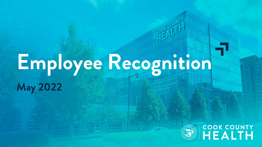# Employee Recognition May 2022

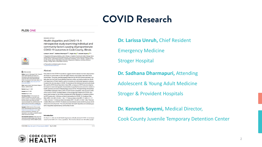# COVID Research

#### **PLOS ONE**



#### Larissa H. Unruh<sup>16</sup>, Sadhana Dharmapuri<sup>2,36</sup>, Yinglin Xia<sup>®46</sup>, Kenneth Soyemi<sup>®2,36</sup>\*

1 Department of Emergency Medicine, John H. Stroger Jr. Hospital of Cook County Health, Chicago, Illinois United States of America, 2 Cermak Health Services, Cook County Juvenile Temporary Detention Center, Chicago, Illinois, United States of America, 3 Department of Pediatrics, John H. Stroger Jr. Hospital of Cook County, Chicago, Illinois, United States of America, 4 Department of Medicine, University of Illinois at Chicago, Chicago, Illinois, United States of America

Early data from the COVID-19 pandemic suggests that the disease has had a disproportion-

communities. This study used demographic data from the 2018 US census estimates, mor-

tality data from the Cook County Medical Examiner's office, and testing results from the Illi-

nois Department of Public Health to perform bivariate and multivariate regression analyses

We used the ZCTA Social Deprivation Index (SDI), a measure of ZCTA area level depriva-

tion based on seven demographic characteristics to quantify the socio-economic variation in health outcomes and levels of disadvantage across ZCTAs. Principal findings showed that:

1) while Black individuals make up 22% of Cook County's population, they account for 28%

of the county's COVID-19 related deaths; 2) the average age of death from COVID-19 is

ity ZCTA areas were 1.02 times as likely to test positive for COVID-19, (Incidence Rate

Ratio (IRR) 1.02, [95% CI 0.95, 1.10]); 1.77 times as likely to die (IRR 1.77, [95% CI 1.17,

2.66]); and were 1.15 times as likely to be tested (IRR 1.15, [95% CI 0.99, 1.33]). There are

notable differences in COVID-19 related outcomes between racial and ethnic groups at indi-

vidual and community levels. This study illustrates the health disparities and underlying sys-

seven years younger for Non-White compared with White decedents: 3) residents of Minor-

to explore the role race plays in COVID-19 outcomes at the individual and community levels.

ate impact on communities of color with higher infection and mortality rates within those

These authors contributed equally to this work. \* ksoyemi@cookcountyhhs.org

Abstract



#### **GOPEN ACCESS**

Citation: Unruh LH, Dharmapuri S, Xia Y, Soyemi K (2022) Health disparities and COVID-19: A retrospective study examining individual and community factors causing disproportionate COVID-19 outcomes in Cook County, Illinois. PLoS ONE 17(5): e0268317. https://doi.org/10.1371/ iournal.pone.0268317

Editor: Gaetano Santulli, Albert Einstein College of Medicine, UNITED STATES

Received: August 17, 2020

Accepted: April 27, 2022

Published: May 16, 2022

Peer Review History: PLOS recognizes the benefits of transparency in the peer review process; therefore, we enable the publication of all of the content of peer review and author responses alongside final, published articles. The editorial history of this article is available here: https://doi.org/10.1371/journal.pone.0268317

**Convright: © 2022 Unruh et al. This is an open** access article distributed under the terms of the Creative Commons Attribution License which permits unrestricted use, distribution, and reproduction in any medium, provided the original author and source are credited

#### Introduction

Data Availability Statement: All data used in this On March 11, 2020, the World Health Organization officially declared COVID-19, the disease manuscript are publicly available online. Data can be accessed through: SOYEMI, KENNETH (2022), caused by the SARS-CoV-2 virus, a pandemic. The virus has infected over 200 million people

temic inequalities experienced by communities of color.

PLOS ONE | https://doi.org/10.1371/journal.pone.0268317 May 16, 2022

 $1/14$ 



### **Dr. Larissa Unruh,** Chief Resident

Emergency Medicine

### Stroger Hospital

**Dr. Sadhana Dharmapuri,** Attending

Adolescent & Young Adult Medicine

Stroger & Provident Hospitals

**Dr. Kenneth Soyemi,** Medical Director,

Cook County Juvenile Temporary Detention Center

2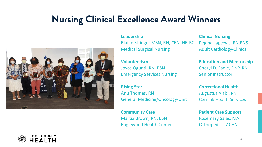# Nursing Clinical Excellence Award Winners



#### **Leadership**

Blaine Stringer MSN, RN, CEN, NE-BC Medical Surgical Nursing

### **Volunteerism**

Joyce Ogunti, RN, BSN Emergency Services Nursing

### **Rising Star**

Anu Thomas, RN General Medicine/Oncology-Unit

**Community Care** Martia Brown, RN, BSN Englewood Health Center

**Clinical Nursing**  Regina Lapcevic, RN,BNS Adult Cardiology-Clinical

**Education and Mentorship** Cheryl D. Eadie, DNP, RN Senior Instructor

**Correctional Health**  Augustus Alabi, RN Cermak Health Services

**Patient Care Support**  Rosemary Salas, MA Orthopedics, ACHN

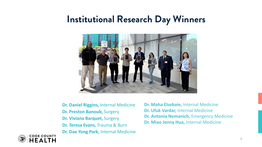## Institutional Research Day Winners



- **Dr. Daniel Riggins,** Internal Medicine **Dr. Preston Banoub,** Surgery **Dr. Viviana Barquet,** Surgery **Dr. Teresa Evans,** Trauma & Burn **Dr. Dae Yong Park,** Internal Medicine
- **Dr. Maha Elsebaie,** Internal Medicine **Dr. Ufuk Vardar,** Internal Medicine **Dr. Antonia Nemanich,** Emergency Medicine **Dr. Miao Jenny Hua,** Internal Medicine